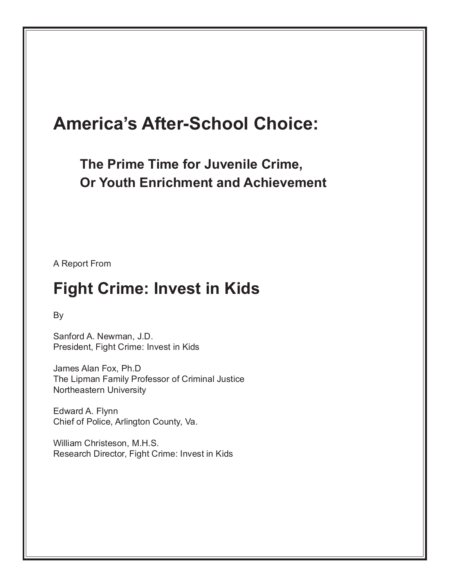# **America's After-School Choice:**

**The Prime Time for Juvenile Crime, Or Youth Enrichment and Achievement**

A Report From

# **Fight Crime: Invest in Kids**

By

Sanford A. Newman, J.D. President, Fight Crime: Invest in Kids

James Alan Fox, Ph.D The Lipman Family Professor of Criminal Justice Northeastern University

Edward A. Flynn Chief of Police, Arlington County, Va.

William Christeson, M.H.S. Research Director, Fight Crime: Invest in Kids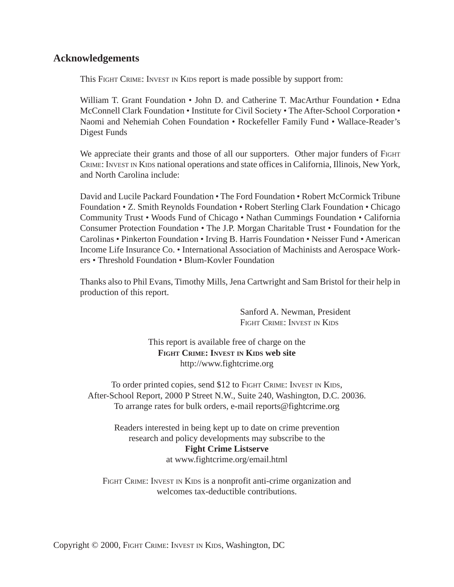### **Acknowledgements**

This FIGHT CRIME: INVEST IN KIDS report is made possible by support from:

William T. Grant Foundation • John D. and Catherine T. MacArthur Foundation • Edna McConnell Clark Foundation • Institute for Civil Society • The After-School Corporation • Naomi and Nehemiah Cohen Foundation • Rockefeller Family Fund • Wallace-Reader's Digest Funds

We appreciate their grants and those of all our supporters. Other major funders of FIGHT CRIME: INVEST IN KIDS national operations and state offices in California, Illinois, New York, and North Carolina include:

David and Lucile Packard Foundation • The Ford Foundation • Robert McCormick Tribune Foundation • Z. Smith Reynolds Foundation • Robert Sterling Clark Foundation • Chicago Community Trust • Woods Fund of Chicago • Nathan Cummings Foundation • California Consumer Protection Foundation • The J.P. Morgan Charitable Trust • Foundation for the Carolinas • Pinkerton Foundation • Irving B. Harris Foundation • Neisser Fund • American Income Life Insurance Co. • International Association of Machinists and Aerospace Workers • Threshold Foundation • Blum-Kovler Foundation

Thanks also to Phil Evans, Timothy Mills, Jena Cartwright and Sam Bristol for their help in production of this report.

> Sanford A. Newman, President FIGHT CRIME: INVEST IN KIDS

This report is available free of charge on the **FIGHT CRIME: INVEST IN KIDS web site** http://www.fightcrime.org

To order printed copies, send \$12 to FIGHT CRIME: INVEST IN KIDS, After-School Report, 2000 P Street N.W., Suite 240, Washington, D.C. 20036. To arrange rates for bulk orders, e-mail reports@fightcrime.org

Readers interested in being kept up to date on crime prevention research and policy developments may subscribe to the **Fight Crime Listserve** at www.fightcrime.org/email.html

FIGHT CRIME: INVEST IN KIDS is a nonprofit anti-crime organization and welcomes tax-deductible contributions.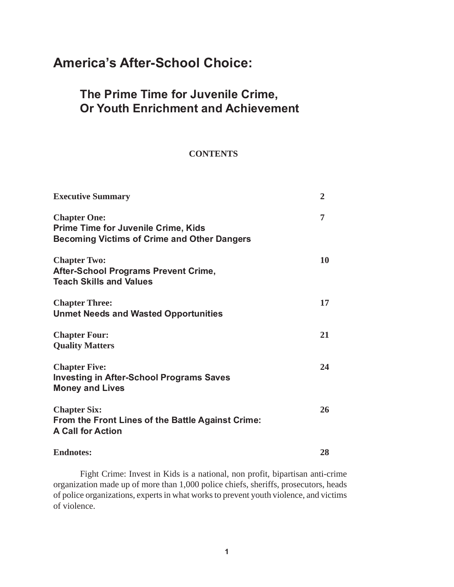# **America's After-School Choice:**

## **The Prime Time for Juvenile Crime, Or Youth Enrichment and Achievement**

#### **CONTENTS**

| <b>Executive Summary</b>                                                                                                | $\overline{2}$ |
|-------------------------------------------------------------------------------------------------------------------------|----------------|
| <b>Chapter One:</b><br><b>Prime Time for Juvenile Crime, Kids</b><br><b>Becoming Victims of Crime and Other Dangers</b> | 7              |
| <b>Chapter Two:</b><br><b>After-School Programs Prevent Crime,</b><br><b>Teach Skills and Values</b>                    | 10             |
| <b>Chapter Three:</b><br><b>Unmet Needs and Wasted Opportunities</b>                                                    | 17             |
| <b>Chapter Four:</b><br><b>Quality Matters</b>                                                                          | 21             |
| <b>Chapter Five:</b><br><b>Investing in After-School Programs Saves</b><br><b>Money and Lives</b>                       | 24             |
| <b>Chapter Six:</b><br>From the Front Lines of the Battle Against Crime:<br><b>A Call for Action</b>                    | 26             |
| <b>Endnotes:</b>                                                                                                        | 28             |

Fight Crime: Invest in Kids is a national, non profit, bipartisan anti-crime organization made up of more than 1,000 police chiefs, sheriffs, prosecutors, heads of police organizations, experts in what works to prevent youth violence, and victims of violence.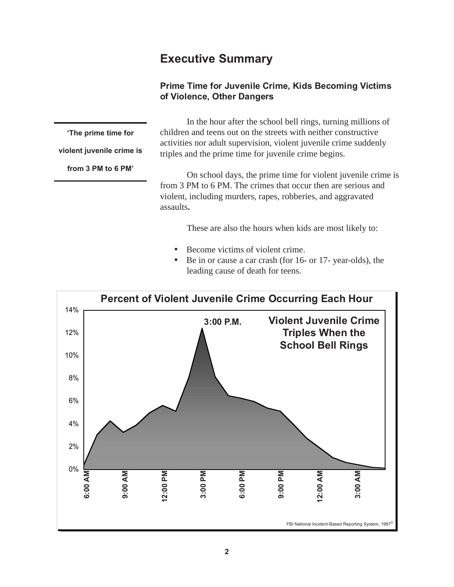## **Executive Summary**

### **Prime Time for Juvenile Crime, Kids Becoming Victims of Violence, Other Dangers**

**'The prime time for**

**violent juvenile crime is**

**from 3 PM to 6 PM'**

In the hour after the school bell rings, turning millions of children and teens out on the streets with neither constructive activities nor adult supervision, violent juvenile crime suddenly triples and the prime time for juvenile crime begins.

On school days, the prime time for violent juvenile crime is from 3 PM to 6 PM. The crimes that occur then are serious and violent, including murders, rapes, robberies, and aggravated assaults**.**

These are also the hours when kids are most likely to:

- Become victims of violent crime.
- Be in or cause a car crash (for 16- or 17- year-olds), the leading cause of death for teens.

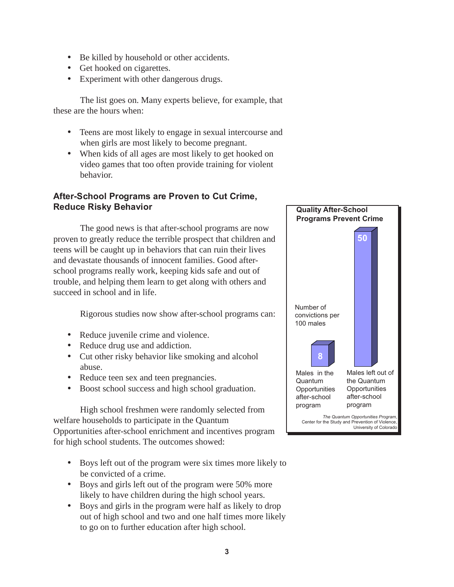- Be killed by household or other accidents.
- Get hooked on cigarettes.
- Experiment with other dangerous drugs.

The list goes on. Many experts believe, for example, that these are the hours when:

- Teens are most likely to engage in sexual intercourse and when girls are most likely to become pregnant.
- When kids of all ages are most likely to get hooked on video games that too often provide training for violent behavior.

### **After-School Programs are Proven to Cut Crime, Reduce Risky Behavior**

The good news is that after-school programs are now proven to greatly reduce the terrible prospect that children and teens will be caught up in behaviors that can ruin their lives and devastate thousands of innocent families. Good afterschool programs really work, keeping kids safe and out of trouble, and helping them learn to get along with others and succeed in school and in life.

Rigorous studies now show after-school programs can:

- Reduce juvenile crime and violence.
- Reduce drug use and addiction.
- Cut other risky behavior like smoking and alcohol abuse.
- Reduce teen sex and teen pregnancies.
- Boost school success and high school graduation.

High school freshmen were randomly selected from welfare households to participate in the Quantum Opportunities after-school enrichment and incentives program for high school students. The outcomes showed:

- Boys left out of the program were six times more likely to be convicted of a crime.
- Boys and girls left out of the program were 50% more likely to have children during the high school years.
- Boys and girls in the program were half as likely to drop out of high school and two and one half times more likely to go on to further education after high school.

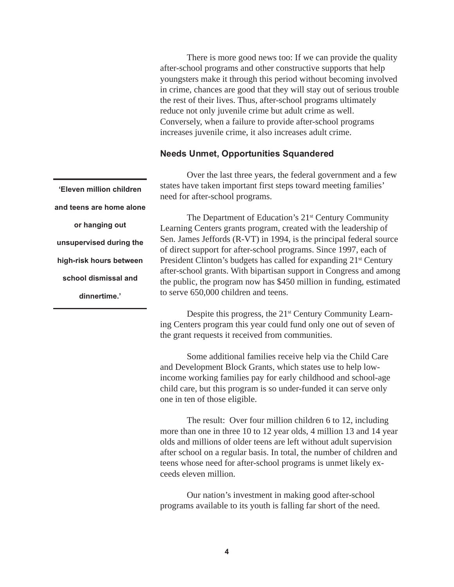There is more good news too: If we can provide the quality after-school programs and other constructive supports that help youngsters make it through this period without becoming involved in crime, chances are good that they will stay out of serious trouble the rest of their lives. Thus, after-school programs ultimately reduce not only juvenile crime but adult crime as well. Conversely, when a failure to provide after-school programs increases juvenile crime, it also increases adult crime.

#### **Needs Unmet, Opportunities Squandered**

**'Eleven million children and teens are home alone or hanging out unsupervised during the high-risk hours between school dismissal and dinnertime.'**

Over the last three years, the federal government and a few states have taken important first steps toward meeting families' need for after-school programs.

The Department of Education's 21<sup>st</sup> Century Community Learning Centers grants program, created with the leadership of Sen. James Jeffords (R-VT) in 1994, is the principal federal source of direct support for after-school programs. Since 1997, each of President Clinton's budgets has called for expanding 21<sup>st</sup> Century after-school grants. With bipartisan support in Congress and among the public, the program now has \$450 million in funding, estimated to serve 650,000 children and teens.

Despite this progress, the 21<sup>st</sup> Century Community Learning Centers program this year could fund only one out of seven of the grant requests it received from communities.

Some additional families receive help via the Child Care and Development Block Grants, which states use to help lowincome working families pay for early childhood and school-age child care, but this program is so under-funded it can serve only one in ten of those eligible.

The result: Over four million children 6 to 12, including more than one in three 10 to 12 year olds, 4 million 13 and 14 year olds and millions of older teens are left without adult supervision after school on a regular basis. In total, the number of children and teens whose need for after-school programs is unmet likely exceeds eleven million.

Our nation's investment in making good after-school programs available to its youth is falling far short of the need.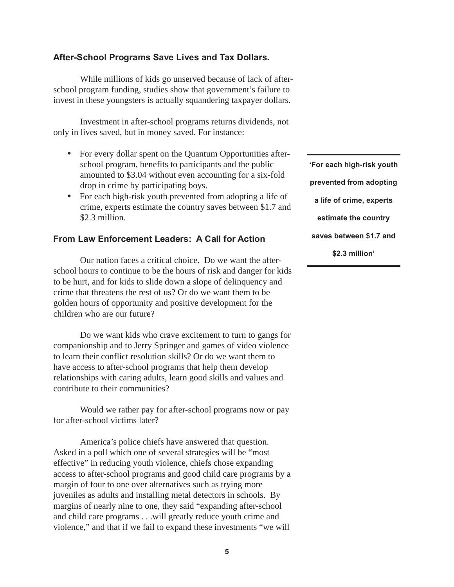#### **After-School Programs Save Lives and Tax Dollars.**

While millions of kids go unserved because of lack of afterschool program funding, studies show that government's failure to invest in these youngsters is actually squandering taxpayer dollars.

Investment in after-school programs returns dividends, not only in lives saved, but in money saved. For instance:

- For every dollar spent on the Quantum Opportunities afterschool program, benefits to participants and the public amounted to \$3.04 without even accounting for a six-fold drop in crime by participating boys.
- For each high-risk youth prevented from adopting a life of crime, experts estimate the country saves between \$1.7 and \$2.3 million.

#### **From Law Enforcement Leaders: A Call for Action**

Our nation faces a critical choice. Do we want the afterschool hours to continue to be the hours of risk and danger for kids to be hurt, and for kids to slide down a slope of delinquency and crime that threatens the rest of us? Or do we want them to be golden hours of opportunity and positive development for the children who are our future?

Do we want kids who crave excitement to turn to gangs for companionship and to Jerry Springer and games of video violence to learn their conflict resolution skills? Or do we want them to have access to after-school programs that help them develop relationships with caring adults, learn good skills and values and contribute to their communities?

Would we rather pay for after-school programs now or pay for after-school victims later?

America's police chiefs have answered that question. Asked in a poll which one of several strategies will be "most effective" in reducing youth violence, chiefs chose expanding access to after-school programs and good child care programs by a margin of four to one over alternatives such as trying more juveniles as adults and installing metal detectors in schools. By margins of nearly nine to one, they said "expanding after-school and child care programs . . .will greatly reduce youth crime and violence," and that if we fail to expand these investments "we will

**'For each high-risk youth prevented from adopting a life of crime, experts estimate the country saves between \$1.7 and \$2.3 million'**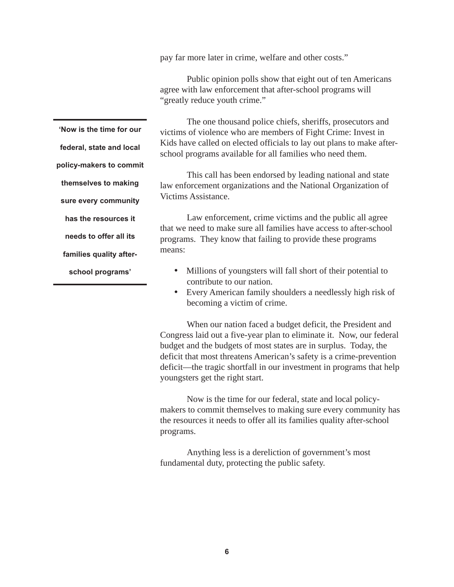pay far more later in crime, welfare and other costs."

Public opinion polls show that eight out of ten Americans agree with law enforcement that after-school programs will "greatly reduce youth crime."

The one thousand police chiefs, sheriffs, prosecutors and victims of violence who are members of Fight Crime: Invest in Kids have called on elected officials to lay out plans to make afterschool programs available for all families who need them.

This call has been endorsed by leading national and state law enforcement organizations and the National Organization of Victims Assistance.

Law enforcement, crime victims and the public all agree that we need to make sure all families have access to after-school programs. They know that failing to provide these programs means:

- Millions of youngsters will fall short of their potential to contribute to our nation.
- Every American family shoulders a needlessly high risk of becoming a victim of crime.

When our nation faced a budget deficit, the President and Congress laid out a five-year plan to eliminate it. Now, our federal budget and the budgets of most states are in surplus. Today, the deficit that most threatens American's safety is a crime-prevention deficit—the tragic shortfall in our investment in programs that help youngsters get the right start.

Now is the time for our federal, state and local policymakers to commit themselves to making sure every community has the resources it needs to offer all its families quality after-school programs.

Anything less is a dereliction of government's most fundamental duty, protecting the public safety.

**'Now is the time for our federal, state and local policy-makers to commit themselves to making sure every community has the resources it needs to offer all its families quality afterschool programs'**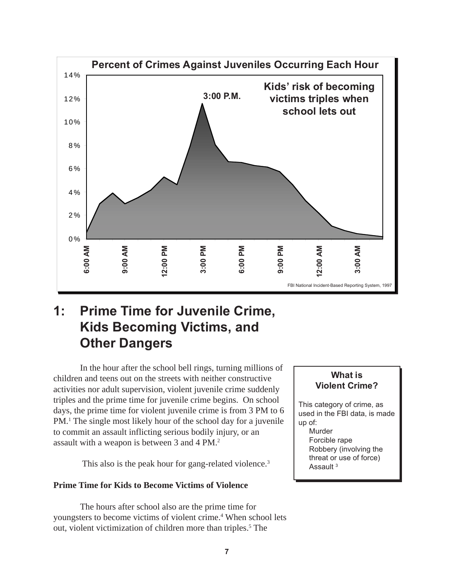

# **1: Prime Time for Juvenile Crime, Kids Becoming Victims, and Other Dangers**

In the hour after the school bell rings, turning millions of children and teens out on the streets with neither constructive activities nor adult supervision, violent juvenile crime suddenly triples and the prime time for juvenile crime begins. On school days, the prime time for violent juvenile crime is from 3 PM to 6 PM.1 The single most likely hour of the school day for a juvenile to commit an assault inflicting serious bodily injury, or an assault with a weapon is between 3 and 4 PM.2

This also is the peak hour for gang-related violence.<sup>3</sup>

#### **Prime Time for Kids to Become Victims of Violence**

The hours after school also are the prime time for youngsters to become victims of violent crime.<sup>4</sup> When school lets out, violent victimization of children more than triples.<sup>5</sup> The

#### **What is Violent Crime?**

This category of crime, as used in the FBI data, is made up of: Murder Forcible rape Robbery (involving the threat or use of force) Assault<sup>3</sup>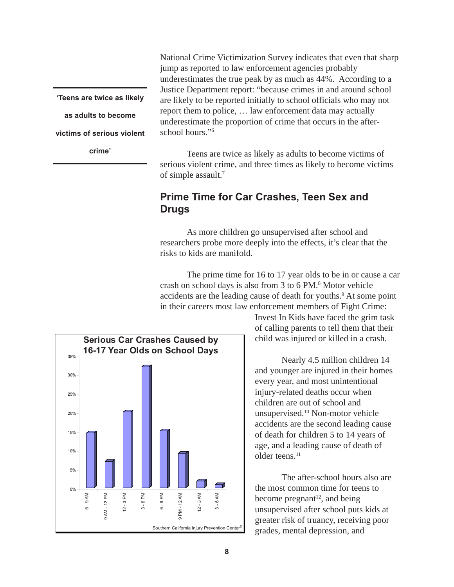**'Teens are twice as likely as adults to become victims of serious violent crime'**

National Crime Victimization Survey indicates that even that sharp jump as reported to law enforcement agencies probably underestimates the true peak by as much as 44%. According to a Justice Department report: "because crimes in and around school are likely to be reported initially to school officials who may not report them to police, … law enforcement data may actually underestimate the proportion of crime that occurs in the afterschool hours."6

Teens are twice as likely as adults to become victims of serious violent crime, and three times as likely to become victims of simple assault.<sup>7</sup>

### **Prime Time for Car Crashes, Teen Sex and Drugs**

As more children go unsupervised after school and researchers probe more deeply into the effects, it's clear that the risks to kids are manifold.

The prime time for 16 to 17 year olds to be in or cause a car crash on school days is also from 3 to 6 PM.<sup>8</sup> Motor vehicle accidents are the leading cause of death for youths.<sup>9</sup> At some point in their careers most law enforcement members of Fight Crime:



Invest In Kids have faced the grim task of calling parents to tell them that their child was injured or killed in a crash.

Nearly 4.5 million children 14 and younger are injured in their homes every year, and most unintentional injury-related deaths occur when children are out of school and unsupervised.10 Non-motor vehicle accidents are the second leading cause of death for children 5 to 14 years of age, and a leading cause of death of older teens.<sup>11</sup>

The after-school hours also are the most common time for teens to become pregnant<sup>12</sup>, and being unsupervised after school puts kids at greater risk of truancy, receiving poor grades, mental depression, and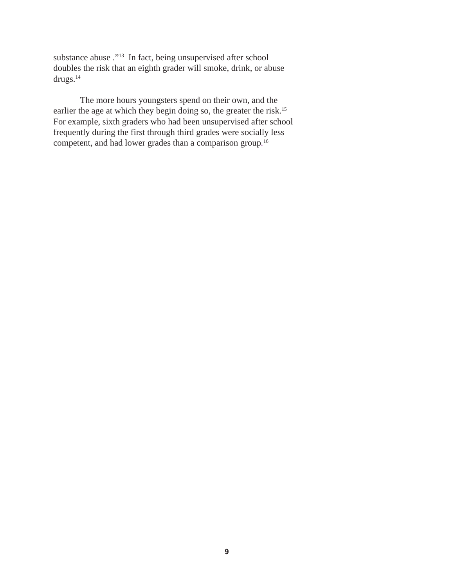substance abuse ."13 In fact, being unsupervised after school doubles the risk that an eighth grader will smoke, drink, or abuse drugs.14

The more hours youngsters spend on their own, and the earlier the age at which they begin doing so, the greater the risk.<sup>15</sup> For example, sixth graders who had been unsupervised after school frequently during the first through third grades were socially less competent, and had lower grades than a comparison group*.* 16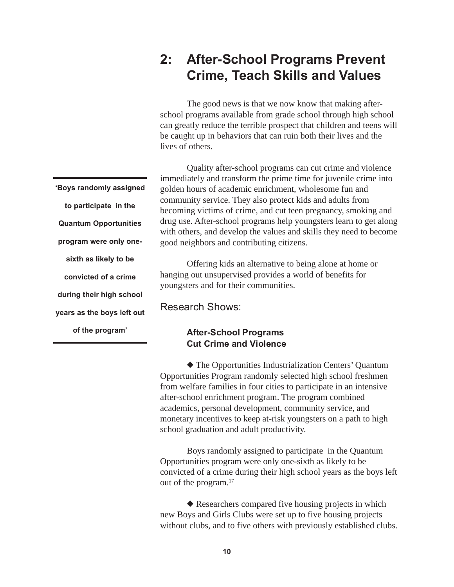# **2: After-School Programs Prevent Crime, Teach Skills and Values**

The good news is that we now know that making afterschool programs available from grade school through high school can greatly reduce the terrible prospect that children and teens will be caught up in behaviors that can ruin both their lives and the lives of others.

Quality after-school programs can cut crime and violence immediately and transform the prime time for juvenile crime into golden hours of academic enrichment, wholesome fun and community service. They also protect kids and adults from becoming victims of crime, and cut teen pregnancy, smoking and drug use. After-school programs help youngsters learn to get along with others, and develop the values and skills they need to become good neighbors and contributing citizens.

Offering kids an alternative to being alone at home or hanging out unsupervised provides a world of benefits for youngsters and for their communities.

Research Shows:

#### **After-School Programs Cut Crime and Violence**

◆ The Opportunities Industrialization Centers' Quantum Opportunities Program randomly selected high school freshmen from welfare families in four cities to participate in an intensive after-school enrichment program. The program combined academics, personal development, community service, and monetary incentives to keep at-risk youngsters on a path to high school graduation and adult productivity.

Boys randomly assigned to participate in the Quantum Opportunities program were only one-sixth as likely to be convicted of a crime during their high school years as the boys left out of the program.17

◆ Researchers compared five housing projects in which new Boys and Girls Clubs were set up to five housing projects without clubs, and to five others with previously established clubs.

**to participate in the Quantum Opportunities program were only onesixth as likely to be convicted of a crime during their high school years as the boys left out of the program'**

**'Boys randomly assigned**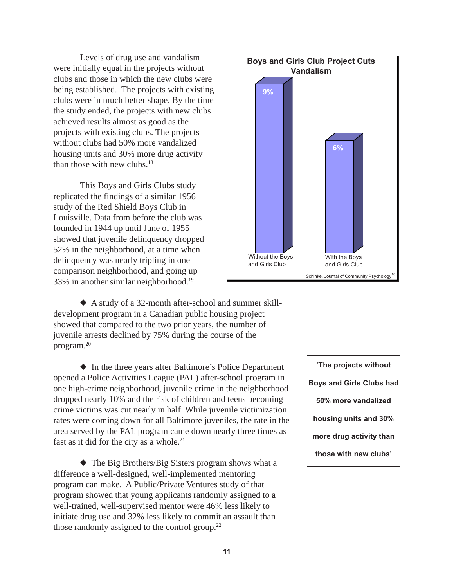Levels of drug use and vandalism were initially equal in the projects without clubs and those in which the new clubs were being established. The projects with existing clubs were in much better shape. By the time the study ended, the projects with new clubs achieved results almost as good as the projects with existing clubs. The projects without clubs had 50% more vandalized housing units and 30% more drug activity than those with new clubs.18

This Boys and Girls Clubs study replicated the findings of a similar 1956 study of the Red Shield Boys Club in Louisville. Data from before the club was founded in 1944 up until June of 1955 showed that juvenile delinquency dropped 52% in the neighborhood, at a time when delinquency was nearly tripling in one comparison neighborhood, and going up 33% in another similar neighborhood.19



◆ A study of a 32-month after-school and summer skilldevelopment program in a Canadian public housing project showed that compared to the two prior years, the number of juvenile arrests declined by 75% during the course of the program.20

◆ In the three years after Baltimore's Police Department opened a Police Activities League (PAL) after-school program in one high-crime neighborhood, juvenile crime in the neighborhood dropped nearly 10% and the risk of children and teens becoming crime victims was cut nearly in half. While juvenile victimization rates were coming down for all Baltimore juveniles, the rate in the area served by the PAL program came down nearly three times as fast as it did for the city as a whole.<sup>21</sup>

◆ The Big Brothers/Big Sisters program shows what a difference a well-designed, well-implemented mentoring program can make. A Public/Private Ventures study of that program showed that young applicants randomly assigned to a well-trained, well-supervised mentor were 46% less likely to initiate drug use and 32% less likely to commit an assault than those randomly assigned to the control group.<sup>22</sup>

**'The projects without Boys and Girls Clubs had 50% more vandalized housing units and 30% more drug activity than those with new clubs'**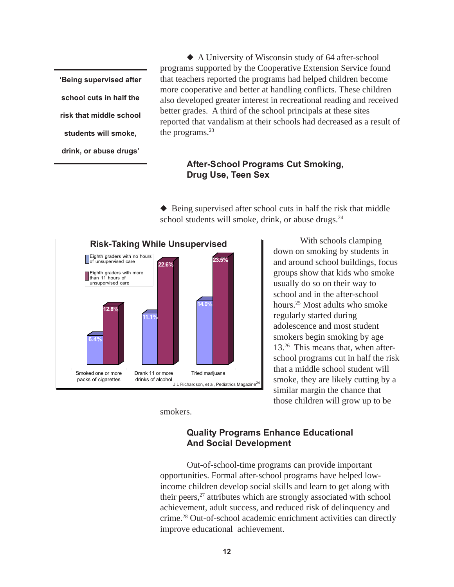**'Being supervised after school cuts in half the risk that middle school students will smoke, drink, or abuse drugs'**

◆ A University of Wisconsin study of 64 after-school programs supported by the Cooperative Extension Service found that teachers reported the programs had helped children become more cooperative and better at handling conflicts. These children also developed greater interest in recreational reading and received better grades. A third of the school principals at these sites reported that vandalism at their schools had decreased as a result of the programs.<sup>23</sup>

#### **After-School Programs Cut Smoking, Drug Use, Teen Sex**

◆ Being supervised after school cuts in half the risk that middle school students will smoke, drink, or abuse drugs.<sup>24</sup>



With schools clamping down on smoking by students in and around school buildings, focus groups show that kids who smoke usually do so on their way to school and in the after-school hours.25 Most adults who smoke regularly started during adolescence and most student smokers begin smoking by age 13.26 This means that, when afterschool programs cut in half the risk that a middle school student will smoke, they are likely cutting by a similar margin the chance that those children will grow up to be

smokers.

#### **Quality Programs Enhance Educational And Social Development**

Out-of-school-time programs can provide important opportunities. Formal after-school programs have helped lowincome children develop social skills and learn to get along with their peers,<sup>27</sup> attributes which are strongly associated with school achievement, adult success, and reduced risk of delinquency and crime.28 Out-of-school academic enrichment activities can directly improve educational achievement.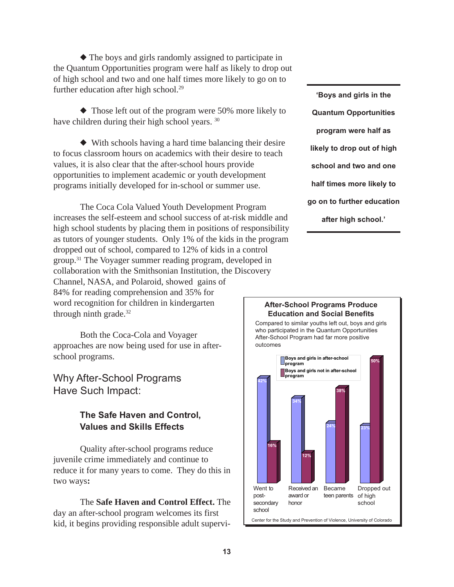◆ The boys and girls randomly assigned to participate in the Quantum Opportunities program were half as likely to drop out of high school and two and one half times more likely to go on to further education after high school.<sup>29</sup>

◆ Those left out of the program were 50% more likely to have children during their high school years. 30

◆ With schools having a hard time balancing their desire to focus classroom hours on academics with their desire to teach values, it is also clear that the after-school hours provide opportunities to implement academic or youth development programs initially developed for in-school or summer use.

The Coca Cola Valued Youth Development Program increases the self-esteem and school success of at-risk middle and high school students by placing them in positions of responsibility as tutors of younger students. Only 1% of the kids in the program dropped out of school, compared to 12% of kids in a control group.31 The Voyager summer reading program, developed in collaboration with the Smithsonian Institution, the Discovery Channel, NASA, and Polaroid, showed gains of 84% for reading comprehension and 35% for word recognition for children in kindergarten through ninth grade.<sup>32</sup>

Both the Coca-Cola and Voyager approaches are now being used for use in afterschool programs.

Why After-School Programs Have Such Impact:

### **The Safe Haven and Control, Values and Skills Effects**

Quality after-school programs reduce juvenile crime immediately and continue to reduce it for many years to come. They do this in two ways**:**

The **Safe Haven and Control Effect.** The day an after-school program welcomes its first kid, it begins providing responsible adult supervi-

**'Boys and girls in the Quantum Opportunities program were half as likely to drop out of high school and two and one half times more likely to go on to further education after high school.'**

#### **After-School Programs Produce Education and Social Benefits**

Compared to similar youths left out, boys and girls who participated in the Quantum Opportunities After-School Program had far more positive outcomes

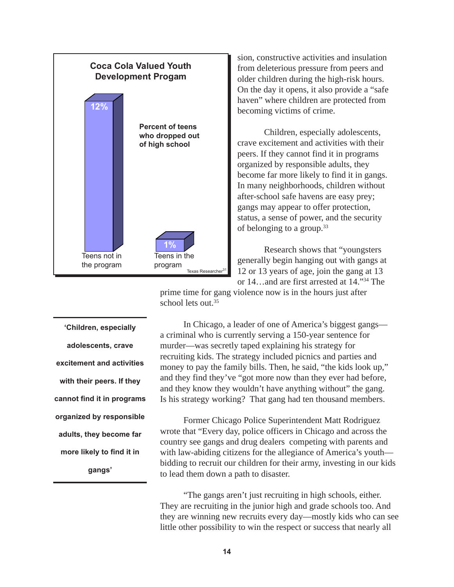

sion, constructive activities and insulation from deleterious pressure from peers and older children during the high-risk hours. On the day it opens, it also provide a "safe haven" where children are protected from becoming victims of crime.

Children, especially adolescents, crave excitement and activities with their peers. If they cannot find it in programs organized by responsible adults, they become far more likely to find it in gangs. In many neighborhoods, children without after-school safe havens are easy prey; gangs may appear to offer protection, status, a sense of power, and the security of belonging to a group.33

Research shows that "youngsters generally begin hanging out with gangs at 12 or 13 years of age, join the gang at 13 or 14…and are first arrested at 14."34 The

prime time for gang violence now is in the hours just after school lets out.<sup>35</sup>

**'Children, especially adolescents, crave excitement and activities with their peers. If they cannot find it in programs organized by responsible adults, they become far more likely to find it in gangs'**

In Chicago, a leader of one of America's biggest gangs a criminal who is currently serving a 150-year sentence for murder—was secretly taped explaining his strategy for recruiting kids. The strategy included picnics and parties and money to pay the family bills. Then, he said, "the kids look up," and they find they've "got more now than they ever had before, and they know they wouldn't have anything without" the gang. Is his strategy working? That gang had ten thousand members.

Former Chicago Police Superintendent Matt Rodriguez wrote that "Every day, police officers in Chicago and across the country see gangs and drug dealers competing with parents and with law-abiding citizens for the allegiance of America's youth bidding to recruit our children for their army, investing in our kids to lead them down a path to disaster.

"The gangs aren't just recruiting in high schools, either. They are recruiting in the junior high and grade schools too. And they are winning new recruits every day—mostly kids who can see little other possibility to win the respect or success that nearly all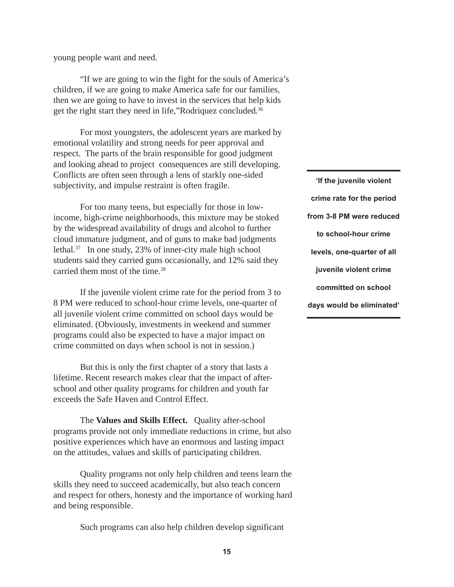young people want and need.

"If we are going to win the fight for the souls of America's children, if we are going to make America safe for our families, then we are going to have to invest in the services that help kids get the right start they need in life,"Rodriquez concluded*.* 36

For most youngsters, the adolescent years are marked by emotional volatility and strong needs for peer approval and respect. The parts of the brain responsible for good judgment and looking ahead to project consequences are still developing. Conflicts are often seen through a lens of starkly one-sided subjectivity, and impulse restraint is often fragile.

For too many teens, but especially for those in lowincome, high-crime neighborhoods, this mixture may be stoked by the widespread availability of drugs and alcohol to further cloud immature judgment, and of guns to make bad judgments lethal.37 In one study, 23% of inner-city male high school students said they carried guns occasionally, and 12% said they carried them most of the time.<sup>38</sup>

If the juvenile violent crime rate for the period from 3 to 8 PM were reduced to school-hour crime levels, one-quarter of all juvenile violent crime committed on school days would be eliminated. (Obviously, investments in weekend and summer programs could also be expected to have a major impact on crime committed on days when school is not in session.)

But this is only the first chapter of a story that lasts a lifetime. Recent research makes clear that the impact of afterschool and other quality programs for children and youth far exceeds the Safe Haven and Control Effect.

The **Values and Skills Effect.** Quality after-school programs provide not only immediate reductions in crime, but also positive experiences which have an enormous and lasting impact on the attitudes, values and skills of participating children.

Quality programs not only help children and teens learn the skills they need to succeed academically, but also teach concern and respect for others, honesty and the importance of working hard and being responsible.

Such programs can also help children develop significant

**'If the juvenile violent crime rate for the period from 3-8 PM were reduced to school-hour crime levels, one-quarter of all juvenile violent crime committed on school days would be eliminated'**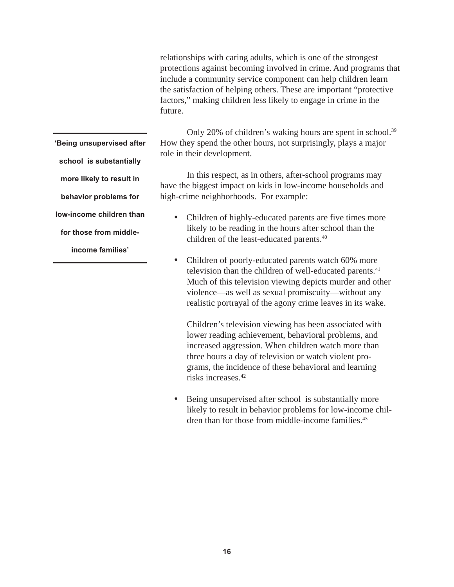relationships with caring adults, which is one of the strongest protections against becoming involved in crime. And programs that include a community service component can help children learn the satisfaction of helping others. These are important "protective factors," making children less likely to engage in crime in the future.

Only 20% of children's waking hours are spent in school.<sup>39</sup> How they spend the other hours, not surprisingly, plays a major role in their development.

In this respect, as in others, after-school programs may have the biggest impact on kids in low-income households and high-crime neighborhoods. For example:

- Children of highly-educated parents are five times more likely to be reading in the hours after school than the children of the least-educated parents.40
- Children of poorly-educated parents watch 60% more television than the children of well-educated parents.<sup>41</sup> Much of this television viewing depicts murder and other violence—as well as sexual promiscuity—without any realistic portrayal of the agony crime leaves in its wake.

Children's television viewing has been associated with lower reading achievement, behavioral problems, and increased aggression. When children watch more than three hours a day of television or watch violent programs, the incidence of these behavioral and learning risks increases.42

Being unsupervised after school is substantially more likely to result in behavior problems for low-income children than for those from middle-income families.<sup>43</sup>

**'Being unsupervised after school is substantially more likely to result in behavior problems for low-income children than for those from middle-**

**income families'**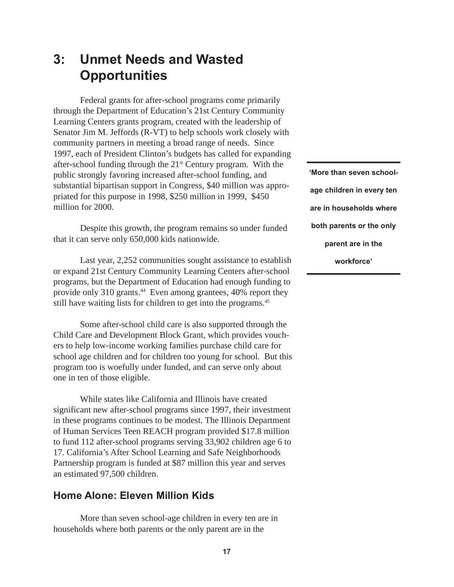# **3: Unmet Needs and Wasted Opportunities**

Federal grants for after-school programs come primarily through the Department of Education's 21st Century Community Learning Centers grants program, created with the leadership of Senator Jim M. Jeffords (R-VT) to help schools work closely with community partners in meeting a broad range of needs. Since 1997, each of President Clinton's budgets has called for expanding after-school funding through the  $21<sup>st</sup>$  Century program. With the public strongly favoring increased after-school funding, and substantial bipartisan support in Congress, \$40 million was appropriated for this purpose in 1998, \$250 million in 1999, \$450 million for 2000.

Despite this growth, the program remains so under funded that it can serve only 650,000 kids nationwide.

Last year, 2,252 communities sought assistance to establish or expand 21st Century Community Learning Centers after-school programs, but the Department of Education had enough funding to provide only 310 grants.<sup>44</sup> Even among grantees, 40% report they still have waiting lists for children to get into the programs.<sup>45</sup>

Some after-school child care is also supported through the Child Care and Development Block Grant, which provides vouchers to help low-income working families purchase child care for school age children and for children too young for school. But this program too is woefully under funded, and can serve only about one in ten of those eligible.

While states like California and Illinois have created significant new after-school programs since 1997, their investment in these programs continues to be modest. The Illinois Department of Human Services Teen REACH program provided \$17.8 million to fund 112 after-school programs serving 33,902 children age 6 to 17. California's After School Learning and Safe Neighborhoods Partnership program is funded at \$87 million this year and serves an estimated 97,500 children.

### **Home Alone: Eleven Million Kids**

More than seven school-age children in every ten are in households where both parents or the only parent are in the

**'More than seven schoolage children in every ten are in households where both parents or the only parent are in the workforce'**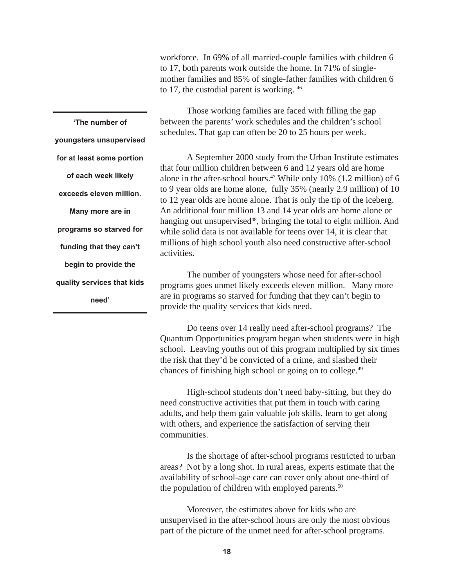workforce. In 69% of all married-couple families with children 6 to 17, both parents work outside the home. In 71% of singlemother families and 85% of single-father families with children 6 to 17, the custodial parent is working. 46

**'The number of youngsters unsupervised for at least some portion of each week likely exceeds eleven million. Many more are in programs so starved for funding that they can't begin to provide the quality services that kids need'**

Those working families are faced with filling the gap between the parents' work schedules and the children's school schedules. That gap can often be 20 to 25 hours per week.

A September 2000 study from the Urban Institute estimates that four million children between 6 and 12 years old are home alone in the after-school hours.<sup>47</sup> While only 10% (1.2 million) of 6 to 9 year olds are home alone, fully 35% (nearly 2.9 million) of 10 to 12 year olds are home alone. That is only the tip of the iceberg. An additional four million 13 and 14 year olds are home alone or hanging out unsupervised<sup>48</sup>, bringing the total to eight million. And while solid data is not available for teens over 14, it is clear that millions of high school youth also need constructive after-school activities.

The number of youngsters whose need for after-school programs goes unmet likely exceeds eleven million. Many more are in programs so starved for funding that they can't begin to provide the quality services that kids need.

Do teens over 14 really need after-school programs? The Quantum Opportunities program began when students were in high school. Leaving youths out of this program multiplied by six times the risk that they'd be convicted of a crime, and slashed their chances of finishing high school or going on to college.49

High-school students don't need baby-sitting, but they do need constructive activities that put them in touch with caring adults, and help them gain valuable job skills, learn to get along with others, and experience the satisfaction of serving their communities.

Is the shortage of after-school programs restricted to urban areas? Not by a long shot. In rural areas, experts estimate that the availability of school-age care can cover only about one-third of the population of children with employed parents.<sup>50</sup>

Moreover, the estimates above for kids who are unsupervised in the after-school hours are only the most obvious part of the picture of the unmet need for after-school programs.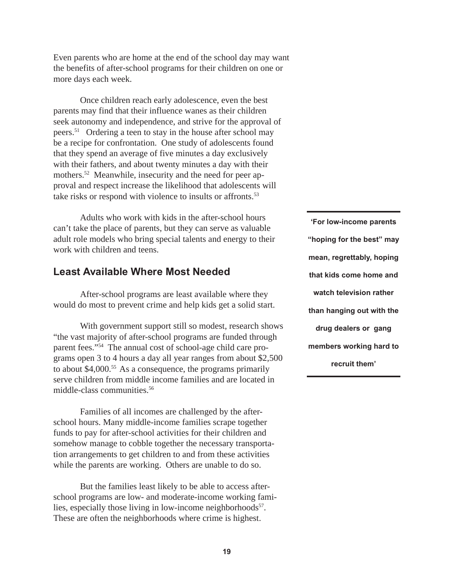Even parents who are home at the end of the school day may want the benefits of after-school programs for their children on one or more days each week.

Once children reach early adolescence, even the best parents may find that their influence wanes as their children seek autonomy and independence, and strive for the approval of peers.51 Ordering a teen to stay in the house after school may be a recipe for confrontation. One study of adolescents found that they spend an average of five minutes a day exclusively with their fathers, and about twenty minutes a day with their mothers.<sup>52</sup> Meanwhile, insecurity and the need for peer approval and respect increase the likelihood that adolescents will take risks or respond with violence to insults or affronts.<sup>53</sup>

Adults who work with kids in the after-school hours can't take the place of parents, but they can serve as valuable adult role models who bring special talents and energy to their work with children and teens.

### **Least Available Where Most Needed**

After-school programs are least available where they would do most to prevent crime and help kids get a solid start.

With government support still so modest, research shows "the vast majority of after-school programs are funded through parent fees."54 The annual cost of school-age child care programs open 3 to 4 hours a day all year ranges from about \$2,500 to about \$4,000.55 As a consequence, the programs primarily serve children from middle income families and are located in middle-class communities.56

Families of all incomes are challenged by the afterschool hours. Many middle-income families scrape together funds to pay for after-school activities for their children and somehow manage to cobble together the necessary transportation arrangements to get children to and from these activities while the parents are working. Others are unable to do so.

But the families least likely to be able to access afterschool programs are low- and moderate-income working families, especially those living in low-income neighborhoods<sup>57</sup>. These are often the neighborhoods where crime is highest.

**'For low-income parents "hoping for the best" may mean, regrettably, hoping that kids come home and watch television rather than hanging out with the drug dealers or gang members working hard to recruit them'**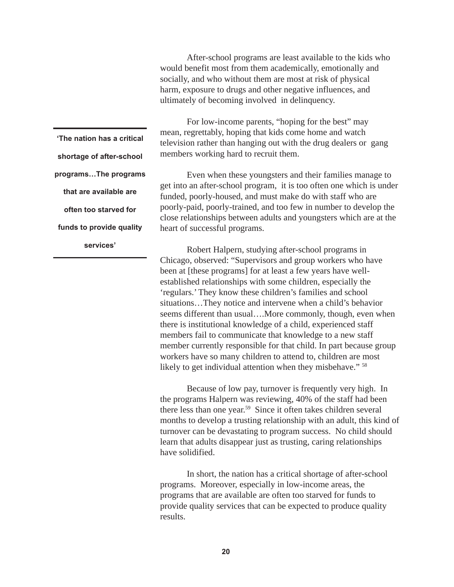After-school programs are least available to the kids who would benefit most from them academically, emotionally and socially, and who without them are most at risk of physical harm, exposure to drugs and other negative influences, and ultimately of becoming involved in delinquency.

For low-income parents, "hoping for the best" may mean, regrettably, hoping that kids come home and watch television rather than hanging out with the drug dealers or gang members working hard to recruit them.

Even when these youngsters and their families manage to get into an after-school program, it is too often one which is under funded, poorly-housed, and must make do with staff who are poorly-paid, poorly-trained, and too few in number to develop the close relationships between adults and youngsters which are at the heart of successful programs.

Robert Halpern, studying after-school programs in Chicago, observed: "Supervisors and group workers who have been at [these programs] for at least a few years have wellestablished relationships with some children, especially the 'regulars.' They know these children's families and school situations…They notice and intervene when a child's behavior seems different than usual....More commonly, though, even when there is institutional knowledge of a child, experienced staff members fail to communicate that knowledge to a new staff member currently responsible for that child. In part because group workers have so many children to attend to, children are most likely to get individual attention when they misbehave."<sup>58</sup>

Because of low pay, turnover is frequently very high. In the programs Halpern was reviewing, 40% of the staff had been there less than one year.<sup>59</sup> Since it often takes children several months to develop a trusting relationship with an adult, this kind of turnover can be devastating to program success. No child should learn that adults disappear just as trusting, caring relationships have solidified.

In short, the nation has a critical shortage of after-school programs. Moreover, especially in low-income areas, the programs that are available are often too starved for funds to provide quality services that can be expected to produce quality results.

**'The nation has a critical shortage of after-school programs…The programs that are available are often too starved for funds to provide quality services'**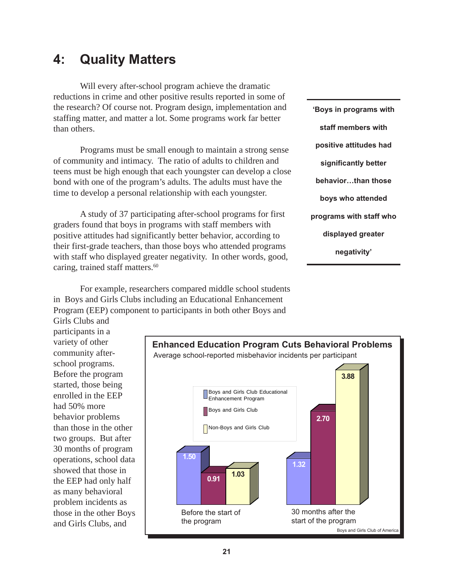# **4: Quality Matters**

Will every after-school program achieve the dramatic reductions in crime and other positive results reported in some of the research? Of course not. Program design, implementation and staffing matter, and matter a lot. Some programs work far better than others.

Programs must be small enough to maintain a strong sense of community and intimacy. The ratio of adults to children and teens must be high enough that each youngster can develop a close bond with one of the program's adults. The adults must have the time to develop a personal relationship with each youngster.

A study of 37 participating after-school programs for first graders found that boys in programs with staff members with positive attitudes had significantly better behavior, according to their first-grade teachers, than those boys who attended programs with staff who displayed greater negativity. In other words, good, caring, trained staff matters.<sup>60</sup>

For example, researchers compared middle school students in Boys and Girls Clubs including an Educational Enhancement Program (EEP) component to participants in both other Boys and

**'Boys in programs with staff members with positive attitudes had significantly better behavior…than those boys who attended programs with staff who displayed greater negativity'**

Girls Clubs and participants in a variety of other community afterschool programs. Before the program started, those being enrolled in the EEP had 50% more behavior problems than those in the other two groups. But after 30 months of program operations, school data showed that those in the EEP had only half as many behavioral problem incidents as those in the other Boys and Girls Clubs, and

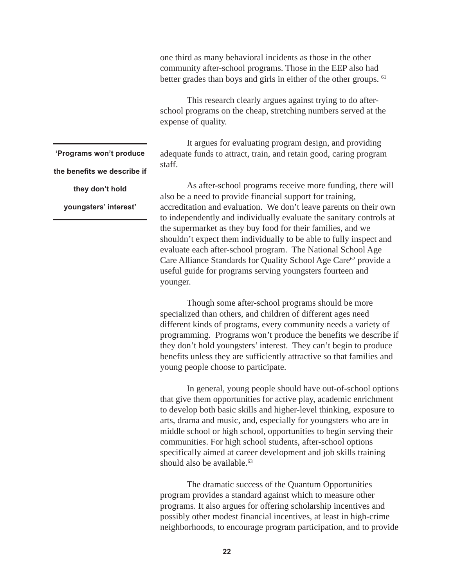one third as many behavioral incidents as those in the other community after-school programs. Those in the EEP also had better grades than boys and girls in either of the other groups. <sup>61</sup>

This research clearly argues against trying to do afterschool programs on the cheap, stretching numbers served at the expense of quality.

It argues for evaluating program design, and providing adequate funds to attract, train, and retain good, caring program staff.

As after-school programs receive more funding, there will also be a need to provide financial support for training, accreditation and evaluation. We don't leave parents on their own to independently and individually evaluate the sanitary controls at the supermarket as they buy food for their families, and we shouldn't expect them individually to be able to fully inspect and evaluate each after-school program. The National School Age Care Alliance Standards for Quality School Age Care<sup>62</sup> provide a useful guide for programs serving youngsters fourteen and younger.

Though some after-school programs should be more specialized than others, and children of different ages need different kinds of programs, every community needs a variety of programming. Programs won't produce the benefits we describe if they don't hold youngsters' interest. They can't begin to produce benefits unless they are sufficiently attractive so that families and young people choose to participate.

In general, young people should have out-of-school options that give them opportunities for active play, academic enrichment to develop both basic skills and higher-level thinking, exposure to arts, drama and music, and, especially for youngsters who are in middle school or high school, opportunities to begin serving their communities. For high school students, after-school options specifically aimed at career development and job skills training should also be available. $63$ 

The dramatic success of the Quantum Opportunities program provides a standard against which to measure other programs. It also argues for offering scholarship incentives and possibly other modest financial incentives, at least in high-crime neighborhoods, to encourage program participation, and to provide

**'Programs won't produce the benefits we describe if they don't hold**

**youngsters' interest'**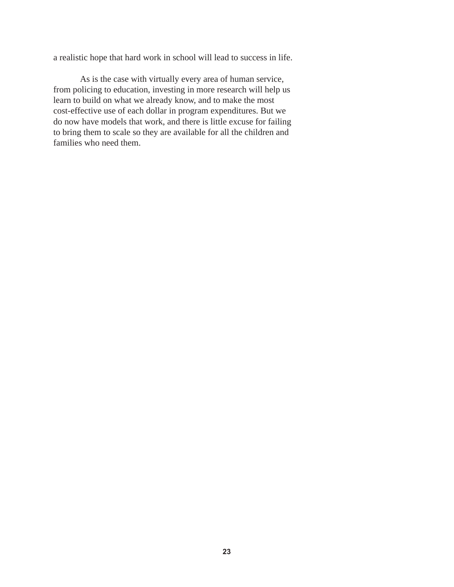a realistic hope that hard work in school will lead to success in life.

As is the case with virtually every area of human service, from policing to education, investing in more research will help us learn to build on what we already know, and to make the most cost-effective use of each dollar in program expenditures. But we do now have models that work, and there is little excuse for failing to bring them to scale so they are available for all the children and families who need them.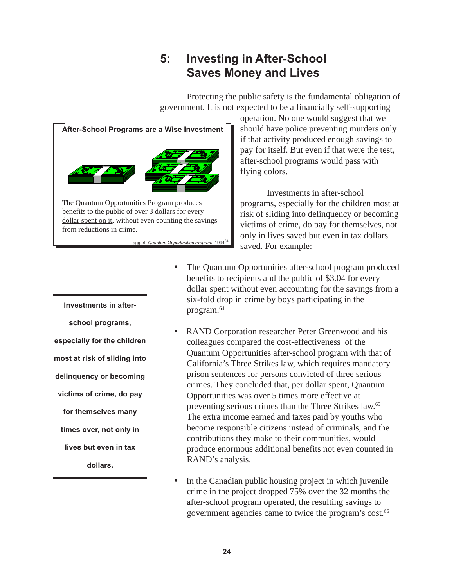# **5: Investing in After-School Saves Money and Lives**

Protecting the public safety is the fundamental obligation of government. It is not expected to be a financially self-supporting



operation. No one would suggest that we should have police preventing murders only if that activity produced enough savings to pay for itself. But even if that were the test, after-school programs would pass with flying colors.

Investments in after-school programs, especially for the children most at risk of sliding into delinquency or becoming victims of crime, do pay for themselves, not only in lives saved but even in tax dollars saved. For example:

- The Quantum Opportunities after-school program produced benefits to recipients and the public of \$3.04 for every dollar spent without even accounting for the savings from a six-fold drop in crime by boys participating in the program.64
- RAND Corporation researcher Peter Greenwood and his colleagues compared the cost-effectiveness of the Quantum Opportunities after-school program with that of California's Three Strikes law, which requires mandatory prison sentences for persons convicted of three serious crimes. They concluded that, per dollar spent, Quantum Opportunities was over 5 times more effective at preventing serious crimes than the Three Strikes law.65 The extra income earned and taxes paid by youths who become responsible citizens instead of criminals, and the contributions they make to their communities, would produce enormous additional benefits not even counted in RAND's analysis.
- In the Canadian public housing project in which juvenile crime in the project dropped 75% over the 32 months the after-school program operated, the resulting savings to government agencies came to twice the program's cost.<sup>66</sup>

**Investments in afterschool programs, especially for the children most at risk of sliding into delinquency or becoming victims of crime, do pay for themselves many times over, not only in lives but even in tax dollars.**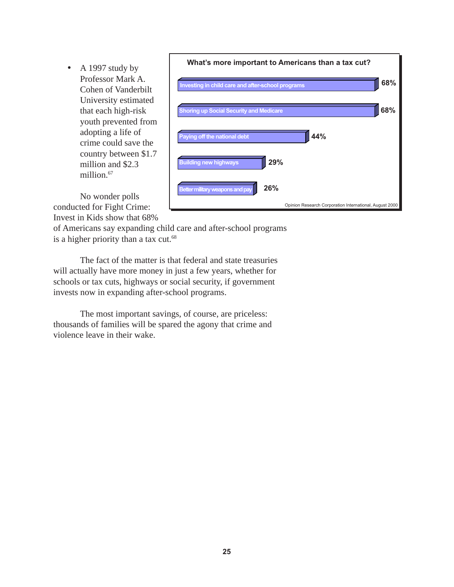• A 1997 study by Professor Mark A. Cohen of Vanderbilt University estimated that each high-risk youth prevented from adopting a life of crime could save the country between \$1.7 million and \$2.3 million.<sup>67</sup>



No wonder polls conducted for Fight Crime: Invest in Kids show that 68%

of Americans say expanding child care and after-school programs is a higher priority than a tax cut. $68$ 

The fact of the matter is that federal and state treasuries will actually have more money in just a few years, whether for schools or tax cuts, highways or social security, if government invests now in expanding after-school programs.

The most important savings, of course, are priceless: thousands of families will be spared the agony that crime and violence leave in their wake.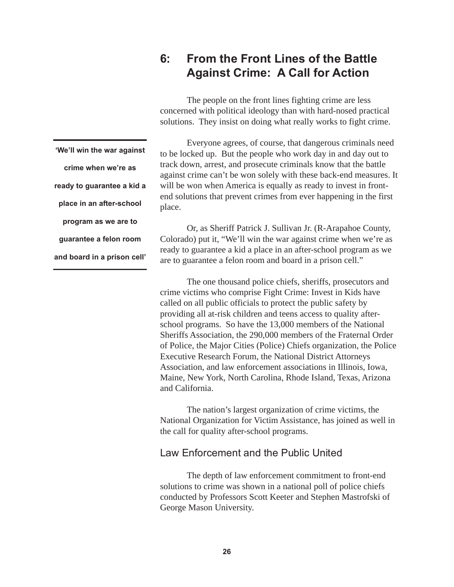## **6: From the Front Lines of the Battle Against Crime: A Call for Action**

The people on the front lines fighting crime are less concerned with political ideology than with hard-nosed practical solutions. They insist on doing what really works to fight crime.

Everyone agrees, of course, that dangerous criminals need to be locked up. But the people who work day in and day out to track down, arrest, and prosecute criminals know that the battle against crime can't be won solely with these back-end measures. It will be won when America is equally as ready to invest in frontend solutions that prevent crimes from ever happening in the first place.

Or, as Sheriff Patrick J. Sullivan Jr. (R-Arapahoe County, Colorado) put it, "We'll win the war against crime when we're as ready to guarantee a kid a place in an after-school program as we are to guarantee a felon room and board in a prison cell."

The one thousand police chiefs, sheriffs, prosecutors and crime victims who comprise Fight Crime: Invest in Kids have called on all public officials to protect the public safety by providing all at-risk children and teens access to quality afterschool programs. So have the 13,000 members of the National Sheriffs Association, the 290,000 members of the Fraternal Order of Police, the Major Cities (Police) Chiefs organization, the Police Executive Research Forum, the National District Attorneys Association, and law enforcement associations in Illinois, Iowa, Maine, New York, North Carolina, Rhode Island, Texas, Arizona and California.

The nation's largest organization of crime victims, the National Organization for Victim Assistance, has joined as well in the call for quality after-school programs.

### Law Enforcement and the Public United

The depth of law enforcement commitment to front-end solutions to crime was shown in a national poll of police chiefs conducted by Professors Scott Keeter and Stephen Mastrofski of George Mason University.

**'We'll win the war against crime when we're as ready to guarantee a kid a place in an after-school program as we are to guarantee a felon room and board in a prison cell'**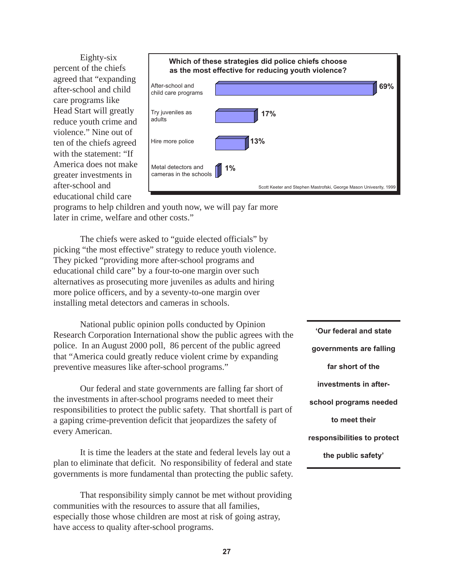Eighty-six percent of the chiefs agreed that "expanding after-school and child care programs like Head Start will greatly reduce youth crime and violence." Nine out of ten of the chiefs agreed with the statement: "If America does not make greater investments in after-school and educational child care



programs to help children and youth now, we will pay far more later in crime, welfare and other costs."

The chiefs were asked to "guide elected officials" by picking "the most effective" strategy to reduce youth violence. They picked "providing more after-school programs and educational child care" by a four-to-one margin over such alternatives as prosecuting more juveniles as adults and hiring more police officers, and by a seventy-to-one margin over installing metal detectors and cameras in schools.

National public opinion polls conducted by Opinion Research Corporation International show the public agrees with the police. In an August 2000 poll, 86 percent of the public agreed that "America could greatly reduce violent crime by expanding preventive measures like after-school programs."

Our federal and state governments are falling far short of the investments in after-school programs needed to meet their responsibilities to protect the public safety. That shortfall is part of a gaping crime-prevention deficit that jeopardizes the safety of every American.

It is time the leaders at the state and federal levels lay out a plan to eliminate that deficit. No responsibility of federal and state governments is more fundamental than protecting the public safety.

That responsibility simply cannot be met without providing communities with the resources to assure that all families, especially those whose children are most at risk of going astray, have access to quality after-school programs.

**'Our federal and state governments are falling far short of the investments in afterschool programs needed to meet their responsibilities to protect the public safety'**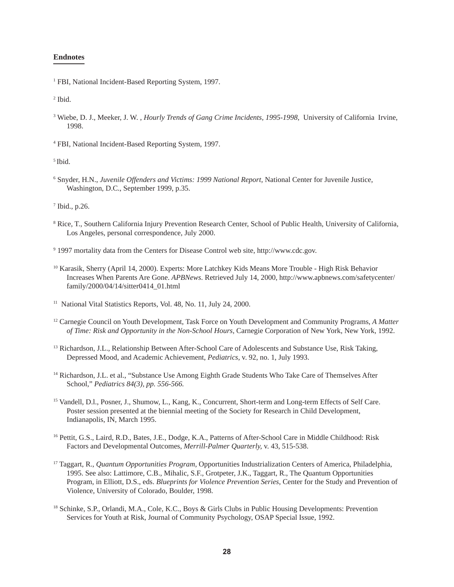#### **Endnotes**

<sup>1</sup> FBI, National Incident-Based Reporting System, 1997.

2 Ibid.

<sup>3</sup> Wiebe, D. J., Meeker, J. W., *Hourly Trends of Gang Crime Incidents, 1995-1998*, University of California Irvine, 1998.

4 FBI, National Incident-Based Reporting System, 1997.

5 Ibid.

<sup>6</sup> Snyder, H.N., *Juvenile Offenders and Victims: 1999 National Report*, National Center for Juvenile Justice, Washington, D.C., September 1999, p.35.

 $7$  Ibid., p.26.

- 8 Rice, T., Southern California Injury Prevention Research Center, School of Public Health, University of California, Los Angeles, personal correspondence, July 2000.
- 9 1997 mortality data from the Centers for Disease Control web site, http://www.cdc.gov.
- 10 Karasik, Sherry (April 14, 2000). Experts: More Latchkey Kids Means More Trouble High Risk Behavior Increases When Parents Are Gone. *APBNews*. Retrieved July 14, 2000, http://www.apbnews.com/safetycenter/ family/2000/04/14/sitter0414\_01.html
- <sup>11</sup> National Vital Statistics Reports, Vol. 48, No. 11, July 24, 2000.
- 12 Carnegie Council on Youth Development, Task Force on Youth Development and Community Programs, *A Matter of Time: Risk and Opportunity in the Non-School Hours,* Carnegie Corporation of New York, New York, 1992.
- <sup>13</sup> Richardson, J.L., Relationship Between After-School Care of Adolescents and Substance Use, Risk Taking, Depressed Mood, and Academic Achievement, *Pediatrics*, v. 92, no. 1, July 1993.
- <sup>14</sup> Richardson, J.L. et al., "Substance Use Among Eighth Grade Students Who Take Care of Themselves After School," *Pediatrics 84(3), pp. 556-566.*
- <sup>15</sup> Vandell, D.l., Posner, J., Shumow, L., Kang, K., Concurrent, Short-term and Long-term Effects of Self Care. Poster session presented at the biennial meeting of the Society for Research in Child Development, Indianapolis, IN, March 1995.
- <sup>16</sup> Pettit, G.S., Laird, R.D., Bates, J.E., Dodge, K.A., Patterns of After-School Care in Middle Childhood: Risk Factors and Developmental Outcomes, *Merrill-Palmer Quarterly,* v. 43, 515-538.
- <sup>17</sup> Taggart, R., *Quantum Opportunities Program*, Opportunities Industrialization Centers of America, Philadelphia, 1995. See also: Lattimore, C.B., Mihalic, S.F., Grotpeter, J.K., Taggart, R., The Quantum Opportunities Program, in Elliott, D.S., eds. *Blueprints for Violence Prevention Series*, Center for the Study and Prevention of Violence, University of Colorado, Boulder, 1998.
- 18 Schinke, S.P., Orlandi, M.A., Cole, K.C., Boys & Girls Clubs in Public Housing Developments: Prevention Services for Youth at Risk, Journal of Community Psychology, OSAP Special Issue, 1992.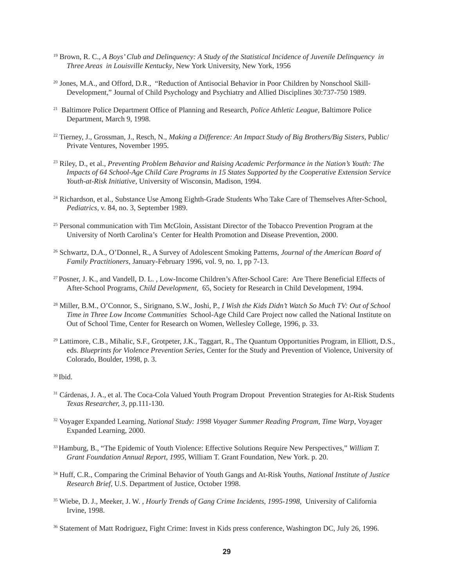- 19 Brown, R. C., *A Boys' Club and Delinquency: A Study of the Statistical Incidence of Juvenile Delinquency in Three Areas in Louisville Kentucky*, New York University, New York, 1956
- <sup>20</sup> Jones, M.A., and Offord, D.R., "Reduction of Antisocial Behavior in Poor Children by Nonschool Skill-Development," Journal of Child Psychology and Psychiatry and Allied Disciplines 30:737-750 1989.
- 21 Baltimore Police Department Office of Planning and Research, *Police Athletic League,* Baltimore Police Department, March 9, 1998.
- <sup>22</sup> Tierney, J., Grossman, J., Resch, N., *Making a Difference: An Impact Study of Big Brothers/Big Sisters, Public/* Private Ventures, November 1995.
- 23 Riley, D., et al., *Preventing Problem Behavior and Raising Academic Performance in the Nation's Youth: The Impacts of 64 School-Age Child Care Programs in 15 States Supported by the Cooperative Extension Service Youth-at-Risk Initiative,* University of Wisconsin, Madison, 1994.
- <sup>24</sup> Richardson, et al., Substance Use Among Eighth-Grade Students Who Take Care of Themselves After-School, *Pediatrics,* v. 84, no. 3, September 1989.
- <sup>25</sup> Personal communication with Tim McGloin, Assistant Director of the Tobacco Prevention Program at the University of North Carolina's Center for Health Promotion and Disease Prevention, 2000.
- 26 Schwartz, D.A., O'Donnel, R., A Survey of Adolescent Smoking Patterns, *Journal of the American Board of Family Practitioners,* January-February 1996, vol. 9, no. 1, pp 7-13.
- <sup>27</sup> Posner, J. K., and Vandell, D. L., Low-Income Children's After-School Care: Are There Beneficial Effects of After-School Programs, *Child Development,* 65, Society for Research in Child Development, 1994.
- <sup>28</sup> Miller, B.M., O'Connor, S., Sirignano, S.W., Joshi, P., *I Wish the Kids Didn't Watch So Much TV: Out of School Time in Three Low Income Communities* School-Age Child Care Project now called the National Institute on Out of School Time, Center for Research on Women, Wellesley College, 1996, p. 33.
- <sup>29</sup> Lattimore, C.B., Mihalic, S.F., Grotpeter, J.K., Taggart, R., The Quantum Opportunities Program, in Elliott, D.S., eds. *Blueprints for Violence Prevention Series*, Center for the Study and Prevention of Violence, University of Colorado, Boulder, 1998, p. 3.

30 Ibid.

- <sup>31</sup> Cárdenas, J. A., et al. The Coca-Cola Valued Youth Program Dropout Prevention Strategies for At-Risk Students *Texas Researcher, 3,* pp.111-130.
- <sup>32</sup> Voyager Expanded Learning, *National Study: 1998 Voyager Summer Reading Program, Time Warp*, Voyager Expanded Learning, 2000.
- 33 Hamburg, B., "The Epidemic of Youth Violence: Effective Solutions Require New Perspectives," *William T. Grant Foundation Annual Report, 1995,* William T. Grant Foundation, New York. p. 20.
- 34 Huff, C.R., Comparing the Criminal Behavior of Youth Gangs and At-Risk Youths, *National Institute of Justice Research Brief,* U.S. Department of Justice, October 1998.
- <sup>35</sup> Wiebe, D. J., Meeker, J. W. , *Hourly Trends of Gang Crime Incidents, 1995-1998*, University of California Irvine, 1998.
- 36 Statement of Matt Rodriguez, Fight Crime: Invest in Kids press conference, Washington DC, July 26, 1996.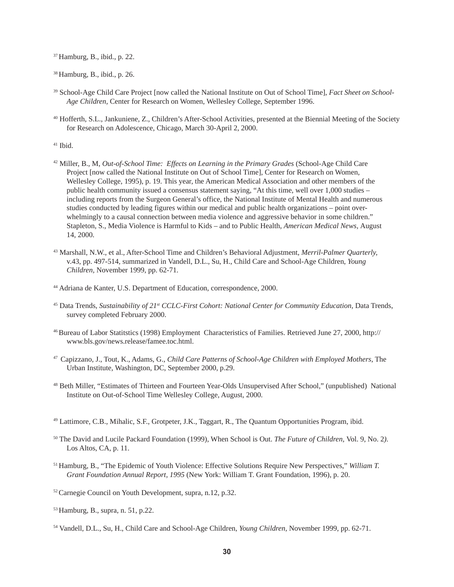37 Hamburg, B., ibid., p. 22.

38 Hamburg, B., ibid., p. 26.

- 39 School-Age Child Care Project [now called the National Institute on Out of School Time], *Fact Sheet on School-Age Children,* Center for Research on Women, Wellesley College, September 1996.
- 40 Hofferth, S.L., Jankuniene, Z., Children's After-School Activities, presented at the Biennial Meeting of the Society for Research on Adolescence, Chicago, March 30-April 2, 2000.
- 41 Ibid.
- 42 Miller, B., M, *Out-of-School Time: Effects on Learning in the Primary Grades* (School-Age Child Care Project [now called the National Institute on Out of School Time], Center for Research on Women, Wellesley College, 1995), p. 19. This year, the American Medical Association and other members of the public health community issued a consensus statement saying, "At this time, well over 1,000 studies – including reports from the Surgeon General's office, the National Institute of Mental Health and numerous studies conducted by leading figures within our medical and public health organizations – point overwhelmingly to a causal connection between media violence and aggressive behavior in some children." Stapleton, S., Media Violence is Harmful to Kids – and to Public Health, *American Medical News,* August 14, 2000.
- 43 Marshall, N.W., et al., After-School Time and Children's Behavioral Adjustment, *Merril-Palmer Quarterly,* v.43, pp. 497-514, summarized in Vandell, D.L., Su, H., Child Care and School-Age Children, *Young Children,* November 1999, pp. 62-71.
- <sup>44</sup> Adriana de Kanter, U.S. Department of Education, correspondence, 2000.
- <sup>45</sup> Data Trends, *Sustainability of 21<sup>st</sup> CCLC-First Cohort: National Center for Community Education*, Data Trends, survey completed February 2000.
- 46 Bureau of Labor Statitstics (1998) Employment Characteristics of Families. Retrieved June 27, 2000, http:// www.bls.gov/news.release/famee.toc.html.
- 47 Capizzano, J., Tout, K., Adams, G., *Child Care Patterns of School-Age Children with Employed Mothers*, The Urban Institute, Washington, DC, September 2000, p.29.
- 48 Beth Miller, "Estimates of Thirteen and Fourteen Year-Olds Unsupervised After School," (unpublished) National Institute on Out-of-School Time Wellesley College, August, 2000.
- 49 Lattimore, C.B., Mihalic, S.F., Grotpeter, J.K., Taggart, R., The Quantum Opportunities Program, ibid.
- <sup>50</sup> The David and Lucile Packard Foundation (1999), When School is Out. *The Future of Children,* Vol. 9, No. 2*).* Los Altos, CA, p. 11.
- 51 Hamburg, B., "The Epidemic of Youth Violence: Effective Solutions Require New Perspectives," *William T. Grant Foundation Annual Report, 1995* (New York: William T. Grant Foundation, 1996), p. 20.
- 52 Carnegie Council on Youth Development, supra, n.12, p.32.
- 53 Hamburg, B., supra, n. 51, p.22.

<sup>54</sup> Vandell, D.L., Su, H., Child Care and School-Age Children, *Young Children,* November 1999, pp. 62-71.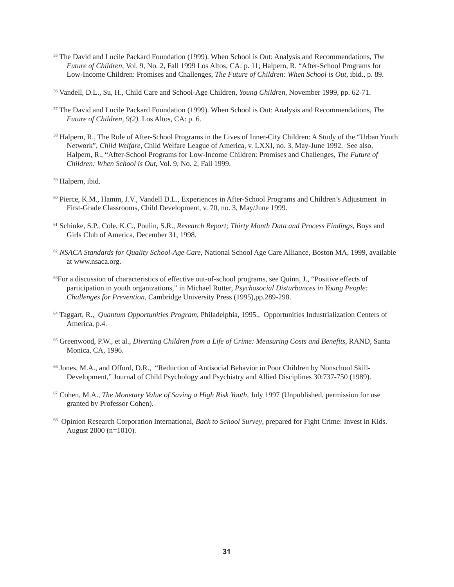- <sup>55</sup> The David and Lucile Packard Foundation (1999). When School is Out: Analysis and Recommendations, *The Future of Children,* Vol. 9, No. 2, Fall 1999 Los Altos, CA: p. 11; Halpern, R. "After-School Programs for Low-Income Children: Promises and Challenges, *The Future of Children: When School is Out,* ibid., p. 89.
- <sup>56</sup> Vandell, D.L., Su, H., Child Care and School-Age Children, *Young Children,* November 1999, pp. 62-71.
- <sup>57</sup> The David and Lucile Packard Foundation (1999). When School is Out: Analysis and Recommendations, *The Future of Children, 9(2).* Los Altos, CA: p. 6.
- 58 Halpern, R., The Role of After-School Programs in the Lives of Inner-City Children: A Study of the "Urban Youth Network", *Child Welfare,* Child Welfare League of America, v. LXXI, no. 3, May-June 1992. See also, Halpern, R., "After-School Programs for Low-Income Children: Promises and Challenges, *The Future of Children: When School is Out,* Vol. 9, No. 2, Fall 1999.

59 Halpern, ibid.

- 60 Pierce, K.M., Hamm, J.V., Vandell D.L., Experiences in After-School Programs and Children's Adjustment in First-Grade Classrooms, Child Development, v. 70, no. 3, May/June 1999.
- 61 Schinke, S.P., Cole, K.C., Poulin, S.R., *Research Report; Thirty Month Data and Process Findings,* Boys and Girls Club of America, December 31, 1998.
- <sup>62</sup> *NSACA Standards for Quality School-Age Care,* National School Age Care Alliance, Boston MA, 1999, available at www.nsaca.org.
- <sup>63</sup>For a discussion of characteristics of effective out-of-school programs, see Quinn, J., "Positive effects of participation in youth organizations," in Michael Rutter, *Psychosocial Disturbances in Young People: Challenges for Prevention,* Cambridge University Press (1995),pp.289-298.
- <sup>64</sup> Taggart, R., *Quantum Opportunities Program*, Philadelphia, 1995., Opportunities Industrialization Centers of America, p.4.
- 65 Greenwood, P.W., et al., *Diverting Children from a Life of Crime: Measuring Costs and Benefits*, RAND, Santa Monica, CA, 1996.
- <sup>66</sup> Jones, M.A., and Offord, D.R., "Reduction of Antisocial Behavior in Poor Children by Nonschool Skill-Development," Journal of Child Psychology and Psychiatry and Allied Disciplines 30:737-750 (1989).
- 67 Cohen, M.A., *The Monetary Value of Saving a High Risk Youth,* July 1997 (Unpublished, permission for use granted by Professor Cohen).
- 68 Opinion Research Corporation International, *Back to School Survey*, prepared for Fight Crime: Invest in Kids. August 2000 (n=1010).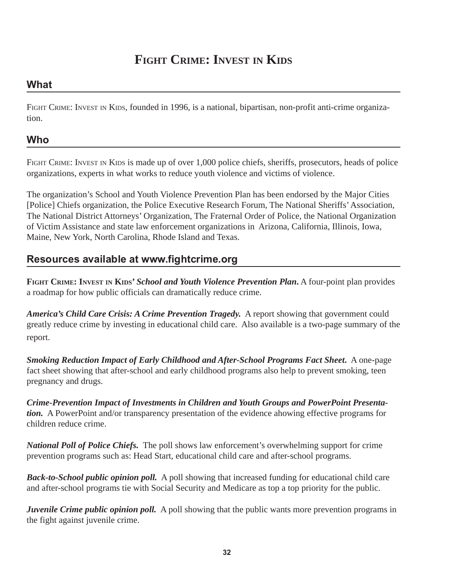# **FIGHT CRIME: INVEST IN KIDS**

### **What**

FIGHT CRIME: INVEST IN KIDS, founded in 1996, is a national, bipartisan, non-profit anti-crime organization.

### **Who**

FIGHT CRIME: INVEST IN KIDS is made up of over 1,000 police chiefs, sheriffs, prosecutors, heads of police organizations, experts in what works to reduce youth violence and victims of violence.

The organization's School and Youth Violence Prevention Plan has been endorsed by the Major Cities [Police] Chiefs organization, the Police Executive Research Forum, The National Sheriffs' Association, The National District Attorneys' Organization, The Fraternal Order of Police, the National Organization of Victim Assistance and state law enforcement organizations in Arizona, California, Illinois, Iowa, Maine, New York, North Carolina, Rhode Island and Texas.

### **Resources available at www.fightcrime.org**

**FIGHT CRIME: INVEST IN KIDS'** *School and Youth Violence Prevention Plan***.** A four-point plan provides a roadmap for how public officials can dramatically reduce crime.

*America's Child Care Crisis: A Crime Prevention Tragedy.* A report showing that government could greatly reduce crime by investing in educational child care. Also available is a two-page summary of the report.

*Smoking Reduction Impact of Early Childhood and After-School Programs Fact Sheet***.** A one-page fact sheet showing that after-school and early childhood programs also help to prevent smoking, teen pregnancy and drugs.

*Crime-Prevention Impact of Investments in Children and Youth Groups and PowerPoint Presentation.* A PowerPoint and/or transparency presentation of the evidence ahowing effective programs for children reduce crime.

*National Poll of Police Chiefs.* The poll shows law enforcement's overwhelming support for crime prevention programs such as: Head Start, educational child care and after-school programs.

*Back-to-School public opinion poll.* A poll showing that increased funding for educational child care and after-school programs tie with Social Security and Medicare as top a top priority for the public.

*Juvenile Crime public opinion poll.* A poll showing that the public wants more prevention programs in the fight against juvenile crime.